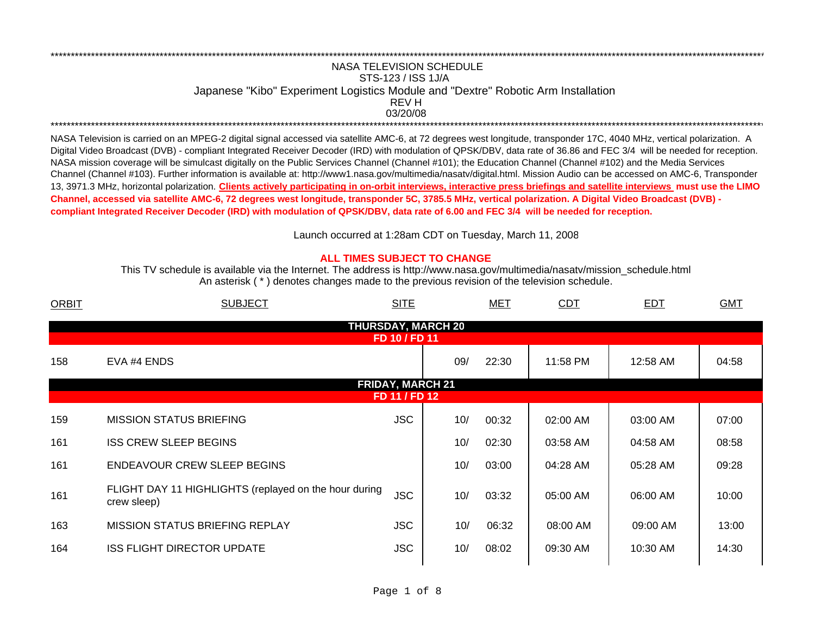## NASA TELEVISION SCHEDULESTS-123 / ISS 1J/A Japanese "Kibo" Experiment Logistics Module and "Dextre" Robotic Arm Installation 03/20/08REV H\*\*\*\*\*\*\*\*\*\*\*\*\*\*\*\*\*\*\*\*\*\*\*\*\*\*\*\*\*\*\*\*\*\*\*\*\*\*\*\*\*\*\*\*\*\*\*\*\*\*\*\*\*\*\*\*\*\*\*\*\*\*\*\*\*\*\*\*\*\*\*\*\*\*\*\*\*\*\*\*\*\*\*\*\*\*\*\*\*\*\*\*\*\*\*\*\*\*\*\*\*\*\*\*\*\*\*\*\*\*\*\*\*\*\*\*\*\*\*\*\*\*\*\*\*\*\*\*\*\*\*\*\*\*\*\*\*\*\*\*\*\*\*\*\*\*\*\*\*\*\*\*\*\*\*\*\*\*\*\*\*\*\*\*\*\*\*\*\*\*\*\*\*\*\*\*\*

\*\*\*\*\*\*\*\*\*\*\*\*\*\*\*\*\*\*\*\*\*\*\*\*\*\*\*\*\*\*\*\*\*\*\*\*\*\*\*\*\*\*\*\*\*\*\*\*\*\*\*\*\*\*\*\*\*\*\*\*\*\*\*\*\*\*\*\*\*\*\*\*\*\*\*\*\*\*\*\*\*\*\*\*\*\*\*\*\*\*\*\*\*\*\*\*\*\*\*\*\*\*\*\*\*\*\*\*\*\*\*\*\*\*\*\*\*\*\*\*\*\*\*\*\*\*\*\*\*\*\*\*\*\*\*\*\*\*\*\*\*\*\*\*\*\*\*\*\*\*\*\*\*\*\*\*\*\*\*\*\*\*\*\*\*\*\*\*\*\*\*\*\*\*\*\*\*

NASA Television is carried on an MPEG-2 digital signal accessed via satellite AMC-6, at 72 degrees west longitude, transponder 17C, 4040 MHz, vertical polarization. A Digital Video Broadcast (DVB) - compliant Integrated Receiver Decoder (IRD) with modulation of QPSK/DBV, data rate of 36.86 and FEC 3/4 will be needed for reception. NASA mission coverage will be simulcast digitally on the Public Services Channel (Channel #101); the Education Channel (Channel #102) and the Media Services Channel (Channel #103). Further information is available at: http://www1.nasa.gov/multimedia/nasatv/digital.html. Mission Audio can be accessed on AMC-6, Transponder 13, 3971.3 MHz, horizontal polarization. **Clients actively participating in on-orbit interviews, interactive press briefings and satellite interviews must use the LIMO Channel, accessed via satellite AMC-6, 72 degrees west longitude, transponder 5C, 3785.5 MHz, vertical polarization. A Digital Video Broadcast (DVB) compliant Integrated Receiver Decoder (IRD) with modulation of QPSK/DBV, data rate of 6.00 and FEC 3/4 will be needed for reception.**

Launch occurred at 1:28am CDT on Tuesday, March 11, 200 8

## **ALL TIMES SUBJECT TO CHANGE**

An asterisk ( \* ) denotes changes made to the previous revision of the television schedule. This TV schedule is available via the Internet. The address is http://www.nasa.gov/multimedia/nasatv/mission\_schedule.html

| <b>ORBIT</b> | <b>SUBJECT</b>                                                       | <b>SITE</b>             |     | <u>MET</u> | <u>CDT</u> | EDT      | <b>GMT</b> |  |  |  |  |
|--------------|----------------------------------------------------------------------|-------------------------|-----|------------|------------|----------|------------|--|--|--|--|
|              | <b>THURSDAY, MARCH 20</b><br>FD 10 / FD 11                           |                         |     |            |            |          |            |  |  |  |  |
| 158          | EVA #4 ENDS                                                          |                         | 09/ | 22:30      | 11:58 PM   | 12:58 AM | 04:58      |  |  |  |  |
|              |                                                                      | <b>FRIDAY, MARCH 21</b> |     |            |            |          |            |  |  |  |  |
|              |                                                                      | FD 11 / FD 12           |     |            |            |          |            |  |  |  |  |
| 159          | <b>MISSION STATUS BRIEFING</b>                                       | <b>JSC</b>              | 10/ | 00:32      | 02:00 AM   | 03:00 AM | 07:00      |  |  |  |  |
| 161          | <b>ISS CREW SLEEP BEGINS</b>                                         |                         | 10/ | 02:30      | 03:58 AM   | 04:58 AM | 08:58      |  |  |  |  |
| 161          | <b>ENDEAVOUR CREW SLEEP BEGINS</b>                                   |                         | 10/ | 03:00      | 04:28 AM   | 05:28 AM | 09:28      |  |  |  |  |
| 161          | FLIGHT DAY 11 HIGHLIGHTS (replayed on the hour during<br>crew sleep) | <b>JSC</b>              | 10/ | 03:32      | 05:00 AM   | 06:00 AM | 10:00      |  |  |  |  |
| 163          | <b>MISSION STATUS BRIEFING REPLAY</b>                                | <b>JSC</b>              | 10/ | 06:32      | 08:00 AM   | 09:00 AM | 13:00      |  |  |  |  |
| 164          | <b>ISS FLIGHT DIRECTOR UPDATE</b>                                    | <b>JSC</b>              | 10/ | 08:02      | 09:30 AM   | 10:30 AM | 14:30      |  |  |  |  |
|              |                                                                      |                         |     |            |            |          |            |  |  |  |  |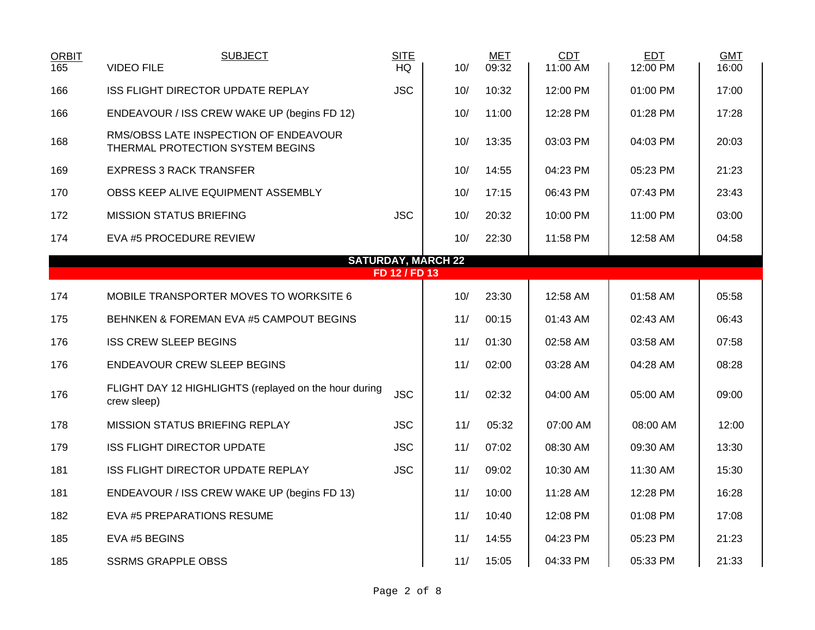| <b>ORBIT</b><br>165 | <b>SUBJECT</b><br><b>VIDEO FILE</b>                                       | <b>SITE</b><br><b>HQ</b> | 10/ | <b>MET</b><br>09:32 | <b>CDT</b><br>11:00 AM | <b>EDT</b><br>12:00 PM | <b>GMT</b><br>16:00 |  |  |  |
|---------------------|---------------------------------------------------------------------------|--------------------------|-----|---------------------|------------------------|------------------------|---------------------|--|--|--|
| 166                 | ISS FLIGHT DIRECTOR UPDATE REPLAY                                         | <b>JSC</b>               | 10/ | 10:32               | 12:00 PM               | 01:00 PM               | 17:00               |  |  |  |
| 166                 | ENDEAVOUR / ISS CREW WAKE UP (begins FD 12)                               |                          | 10/ | 11:00               | 12:28 PM               | 01:28 PM               | 17:28               |  |  |  |
| 168                 | RMS/OBSS LATE INSPECTION OF ENDEAVOUR<br>THERMAL PROTECTION SYSTEM BEGINS |                          | 10/ | 13:35               | 03:03 PM               | 04:03 PM               | 20:03               |  |  |  |
| 169                 | <b>EXPRESS 3 RACK TRANSFER</b>                                            |                          | 10/ | 14:55               | 04:23 PM               | 05:23 PM               | 21:23               |  |  |  |
| 170                 | OBSS KEEP ALIVE EQUIPMENT ASSEMBLY                                        |                          | 10/ | 17:15               | 06:43 PM               | 07:43 PM               | 23:43               |  |  |  |
| 172                 | <b>MISSION STATUS BRIEFING</b>                                            | <b>JSC</b>               | 10/ | 20:32               | 10:00 PM               | 11:00 PM               | 03:00               |  |  |  |
| 174                 | EVA #5 PROCEDURE REVIEW                                                   |                          | 10/ | 22:30               | 11:58 PM               | 12:58 AM               | 04:58               |  |  |  |
|                     | <b>SATURDAY, MARCH 22</b>                                                 |                          |     |                     |                        |                        |                     |  |  |  |
|                     |                                                                           | FD 12 / FD 13            |     |                     |                        |                        |                     |  |  |  |
| 174                 | MOBILE TRANSPORTER MOVES TO WORKSITE 6                                    |                          | 10/ | 23:30               | 12:58 AM               | 01:58 AM               | 05:58               |  |  |  |
| 175                 | BEHNKEN & FOREMAN EVA #5 CAMPOUT BEGINS                                   |                          | 11/ | 00:15               | 01:43 AM               | 02:43 AM               | 06:43               |  |  |  |
| 176                 | <b>ISS CREW SLEEP BEGINS</b>                                              |                          | 11/ | 01:30               | 02:58 AM               | 03:58 AM               | 07:58               |  |  |  |
| 176                 | ENDEAVOUR CREW SLEEP BEGINS                                               |                          | 11/ | 02:00               | 03:28 AM               | 04:28 AM               | 08:28               |  |  |  |
| 176                 | FLIGHT DAY 12 HIGHLIGHTS (replayed on the hour during<br>crew sleep)      | <b>JSC</b>               | 11/ | 02:32               | 04:00 AM               | 05:00 AM               | 09:00               |  |  |  |
| 178                 | <b>MISSION STATUS BRIEFING REPLAY</b>                                     | <b>JSC</b>               | 11/ | 05:32               | 07:00 AM               | 08:00 AM               | 12:00               |  |  |  |
| 179                 | <b>ISS FLIGHT DIRECTOR UPDATE</b>                                         | <b>JSC</b>               | 11/ | 07:02               | 08:30 AM               | 09:30 AM               | 13:30               |  |  |  |
| 181                 | ISS FLIGHT DIRECTOR UPDATE REPLAY                                         | <b>JSC</b>               | 11/ | 09:02               | 10:30 AM               | 11:30 AM               | 15:30               |  |  |  |
| 181                 | ENDEAVOUR / ISS CREW WAKE UP (begins FD 13)                               |                          | 11/ | 10:00               | 11:28 AM               | 12:28 PM               | 16:28               |  |  |  |
| 182                 | EVA #5 PREPARATIONS RESUME                                                |                          | 11/ | 10:40               | 12:08 PM               | 01:08 PM               | 17:08               |  |  |  |
| 185                 | EVA #5 BEGINS                                                             |                          | 11/ | 14:55               | 04:23 PM               | 05:23 PM               | 21:23               |  |  |  |
| 185                 | <b>SSRMS GRAPPLE OBSS</b>                                                 |                          | 11/ | 15:05               | 04:33 PM               | 05:33 PM               | 21:33               |  |  |  |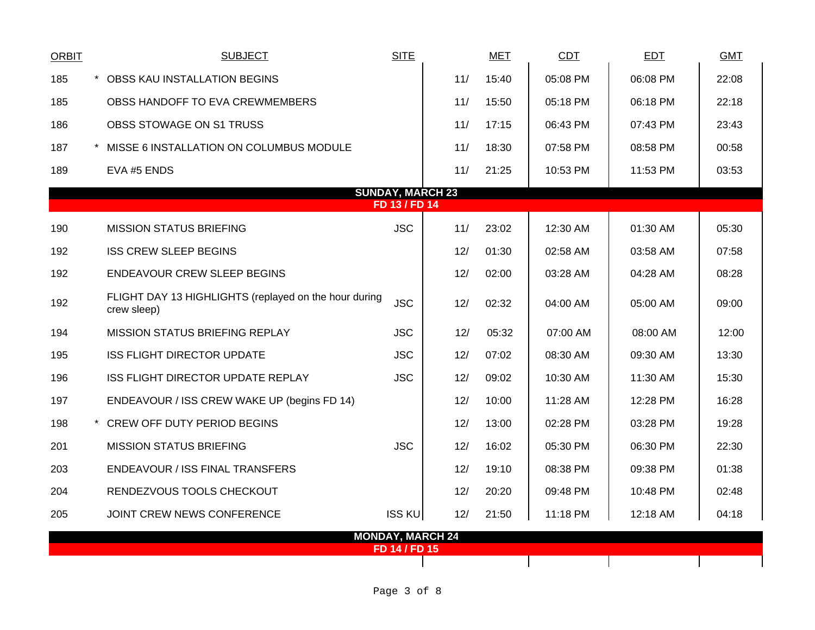| <b>ORBIT</b> | <b>SUBJECT</b>                                                       | <b>SITE</b>             |     | <b>MET</b> | <b>CDT</b> | <b>EDT</b> | <b>GMT</b> |  |  |  |  |
|--------------|----------------------------------------------------------------------|-------------------------|-----|------------|------------|------------|------------|--|--|--|--|
| 185          | $\star$<br>OBSS KAU INSTALLATION BEGINS                              |                         | 11/ | 15:40      | 05:08 PM   | 06:08 PM   | 22:08      |  |  |  |  |
| 185          | OBSS HANDOFF TO EVA CREWMEMBERS                                      |                         | 11/ | 15:50      | 05:18 PM   | 06:18 PM   | 22:18      |  |  |  |  |
| 186          | OBSS STOWAGE ON S1 TRUSS                                             |                         | 11/ | 17:15      | 06:43 PM   | 07:43 PM   | 23:43      |  |  |  |  |
| 187          | MISSE 6 INSTALLATION ON COLUMBUS MODULE<br>$\star$                   |                         | 11/ | 18:30      | 07:58 PM   | 08:58 PM   | 00:58      |  |  |  |  |
| 189          | EVA #5 ENDS                                                          |                         | 11/ | 21:25      | 10:53 PM   | 11:53 PM   | 03:53      |  |  |  |  |
|              | <b>SUNDAY, MARCH 23</b>                                              |                         |     |            |            |            |            |  |  |  |  |
|              |                                                                      | FD 13 / FD 14           |     |            |            |            |            |  |  |  |  |
| 190          | <b>MISSION STATUS BRIEFING</b>                                       | <b>JSC</b>              | 11/ | 23:02      | 12:30 AM   | 01:30 AM   | 05:30      |  |  |  |  |
| 192          | <b>ISS CREW SLEEP BEGINS</b>                                         |                         | 12/ | 01:30      | 02:58 AM   | 03:58 AM   | 07:58      |  |  |  |  |
| 192          | ENDEAVOUR CREW SLEEP BEGINS                                          |                         | 12/ | 02:00      | 03:28 AM   | 04:28 AM   | 08:28      |  |  |  |  |
| 192          | FLIGHT DAY 13 HIGHLIGHTS (replayed on the hour during<br>crew sleep) | <b>JSC</b>              | 12/ | 02:32      | 04:00 AM   | 05:00 AM   | 09:00      |  |  |  |  |
| 194          | <b>MISSION STATUS BRIEFING REPLAY</b>                                | <b>JSC</b>              | 12/ | 05:32      | 07:00 AM   | 08:00 AM   | 12:00      |  |  |  |  |
| 195          | <b>ISS FLIGHT DIRECTOR UPDATE</b>                                    | <b>JSC</b>              | 12/ | 07:02      | 08:30 AM   | 09:30 AM   | 13:30      |  |  |  |  |
| 196          | ISS FLIGHT DIRECTOR UPDATE REPLAY                                    | <b>JSC</b>              | 12/ | 09:02      | 10:30 AM   | 11:30 AM   | 15:30      |  |  |  |  |
| 197          | ENDEAVOUR / ISS CREW WAKE UP (begins FD 14)                          |                         | 12/ | 10:00      | 11:28 AM   | 12:28 PM   | 16:28      |  |  |  |  |
| 198          | CREW OFF DUTY PERIOD BEGINS                                          |                         | 12/ | 13:00      | 02:28 PM   | 03:28 PM   | 19:28      |  |  |  |  |
| 201          | <b>MISSION STATUS BRIEFING</b>                                       | <b>JSC</b>              | 12/ | 16:02      | 05:30 PM   | 06:30 PM   | 22:30      |  |  |  |  |
| 203          | ENDEAVOUR / ISS FINAL TRANSFERS                                      |                         | 12/ | 19:10      | 08:38 PM   | 09:38 PM   | 01:38      |  |  |  |  |
| 204          | RENDEZVOUS TOOLS CHECKOUT                                            |                         | 12/ | 20:20      | 09:48 PM   | 10:48 PM   | 02:48      |  |  |  |  |
| 205          | JOINT CREW NEWS CONFERENCE                                           | <b>ISS KU</b>           | 12/ | 21:50      | 11:18 PM   | 12:18 AM   | 04:18      |  |  |  |  |
|              |                                                                      | <b>MONDAY, MARCH 24</b> |     |            |            |            |            |  |  |  |  |
|              |                                                                      | FD 14 / FD 15           |     |            |            |            |            |  |  |  |  |

 $\mathbf{I}$ 

 $\mathbf{I}$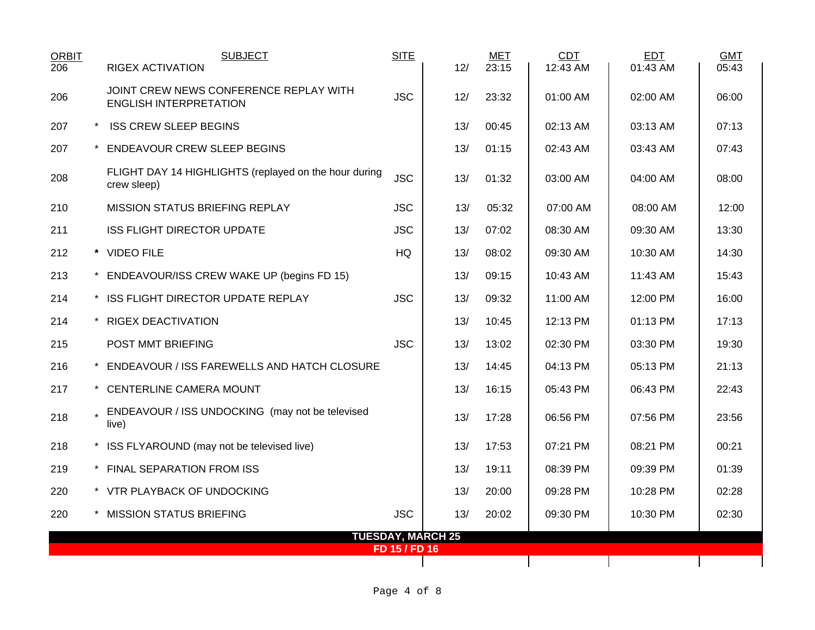| ORBIT<br>206 | <b>SUBJECT</b><br><b>RIGEX ACTIVATION</b>                               | <b>SITE</b>   | 12/                      | <b>MET</b><br>23:15 | CDT<br>12:43 AM | <b>EDT</b><br>01:43 AM | <b>GMT</b><br>05:43 |
|--------------|-------------------------------------------------------------------------|---------------|--------------------------|---------------------|-----------------|------------------------|---------------------|
| 206          | JOINT CREW NEWS CONFERENCE REPLAY WITH<br><b>ENGLISH INTERPRETATION</b> | <b>JSC</b>    | 12/                      | 23:32               | 01:00 AM        | 02:00 AM               | 06:00               |
| 207          | <b>ISS CREW SLEEP BEGINS</b>                                            |               | 13/                      | 00:45               | 02:13 AM        | 03:13 AM               | 07:13               |
| 207          | <b>ENDEAVOUR CREW SLEEP BEGINS</b>                                      |               | 13/                      | 01:15               | 02:43 AM        | 03:43 AM               | 07:43               |
| 208          | FLIGHT DAY 14 HIGHLIGHTS (replayed on the hour during<br>crew sleep)    | <b>JSC</b>    | 13/                      | 01:32               | 03:00 AM        | 04:00 AM               | 08:00               |
| 210          | <b>MISSION STATUS BRIEFING REPLAY</b>                                   | <b>JSC</b>    | 13/                      | 05:32               | 07:00 AM        | 08:00 AM               | 12:00               |
| 211          | <b>ISS FLIGHT DIRECTOR UPDATE</b>                                       | <b>JSC</b>    | 13/                      | 07:02               | 08:30 AM        | 09:30 AM               | 13:30               |
| 212          | * VIDEO FILE                                                            | HQ            | 13/                      | 08:02               | 09:30 AM        | 10:30 AM               | 14:30               |
| 213          | * ENDEAVOUR/ISS CREW WAKE UP (begins FD 15)                             |               | 13/                      | 09:15               | 10:43 AM        | 11:43 AM               | 15:43               |
| 214          | * ISS FLIGHT DIRECTOR UPDATE REPLAY                                     | <b>JSC</b>    | 13/                      | 09:32               | 11:00 AM        | 12:00 PM               | 16:00               |
| 214          | * RIGEX DEACTIVATION                                                    |               | 13/                      | 10:45               | 12:13 PM        | 01:13 PM               | 17:13               |
| 215          | POST MMT BRIEFING                                                       | <b>JSC</b>    | 13/                      | 13:02               | 02:30 PM        | 03:30 PM               | 19:30               |
| 216          | * ENDEAVOUR / ISS FAREWELLS AND HATCH CLOSURE                           |               | 13/                      | 14:45               | 04:13 PM        | 05:13 PM               | 21:13               |
| 217          | * CENTERLINE CAMERA MOUNT                                               |               | 13/                      | 16:15               | 05:43 PM        | 06:43 PM               | 22:43               |
| 218          | ENDEAVOUR / ISS UNDOCKING (may not be televised<br>live)                |               | 13/                      | 17:28               | 06:56 PM        | 07:56 PM               | 23:56               |
| 218          | * ISS FLYAROUND (may not be televised live)                             |               | 13/                      | 17:53               | 07:21 PM        | 08:21 PM               | 00:21               |
| 219          | * FINAL SEPARATION FROM ISS                                             |               | 13/                      | 19:11               | 08:39 PM        | 09:39 PM               | 01:39               |
| 220          | * VTR PLAYBACK OF UNDOCKING                                             |               | 13/                      | 20:00               | 09:28 PM        | 10:28 PM               | 02:28               |
| 220          | * MISSION STATUS BRIEFING                                               | <b>JSC</b>    | 13/                      | 20:02               | 09:30 PM        | 10:30 PM               | 02:30               |
|              |                                                                         | FD 15 / FD 16 | <b>TUESDAY, MARCH 25</b> |                     |                 |                        |                     |
|              |                                                                         |               |                          |                     |                 |                        |                     |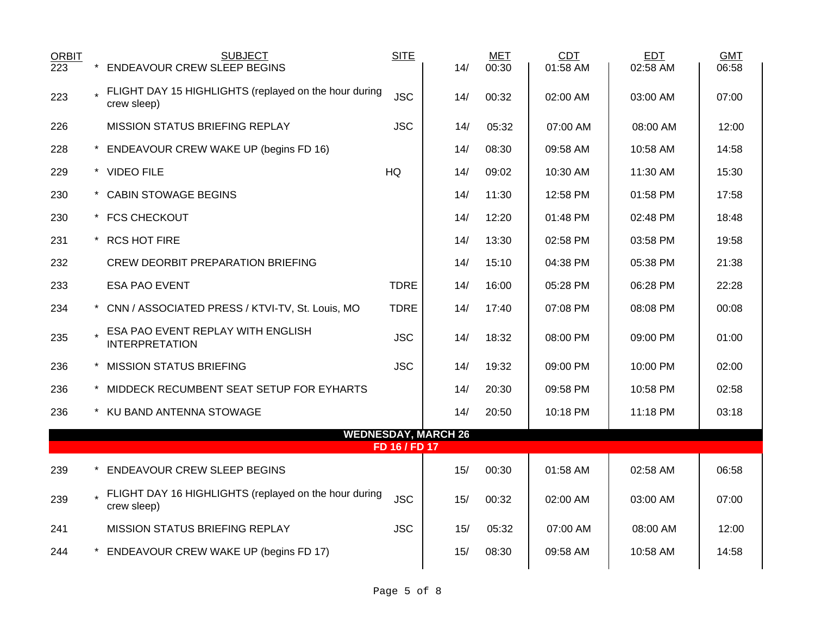| <b>ORBIT</b><br>223 | <b>SUBJECT</b><br><b>ENDEAVOUR CREW SLEEP BEGINS</b>                   | <b>SITE</b>   | 14/                        | <b>MET</b><br>00:30 | <b>CDT</b><br>01:58 AM | <b>EDT</b><br>02:58 AM | <b>GMT</b><br>06:58 |
|---------------------|------------------------------------------------------------------------|---------------|----------------------------|---------------------|------------------------|------------------------|---------------------|
| 223                 | FLIGHT DAY 15 HIGHLIGHTS (replayed on the hour during<br>crew sleep)   | <b>JSC</b>    | 14/                        | 00:32               | 02:00 AM               | 03:00 AM               | 07:00               |
| 226                 | MISSION STATUS BRIEFING REPLAY                                         | <b>JSC</b>    | 14/                        | 05:32               | 07:00 AM               | 08:00 AM               | 12:00               |
| 228                 | * ENDEAVOUR CREW WAKE UP (begins FD 16)                                |               | 14/                        | 08:30               | 09:58 AM               | 10:58 AM               | 14:58               |
| 229                 | * VIDEO FILE                                                           | <b>HQ</b>     | 14/                        | 09:02               | 10:30 AM               | 11:30 AM               | 15:30               |
| 230                 | * CABIN STOWAGE BEGINS                                                 |               | 14/                        | 11:30               | 12:58 PM               | 01:58 PM               | 17:58               |
| 230                 | * FCS CHECKOUT                                                         |               | 14/                        | 12:20               | 01:48 PM               | 02:48 PM               | 18:48               |
| 231                 | * RCS HOT FIRE                                                         |               | 14/                        | 13:30               | 02:58 PM               | 03:58 PM               | 19:58               |
| 232                 | CREW DEORBIT PREPARATION BRIEFING                                      |               | 14/                        | 15:10               | 04:38 PM               | 05:38 PM               | 21:38               |
| 233                 | <b>ESA PAO EVENT</b>                                                   | <b>TDRE</b>   | 14/                        | 16:00               | 05:28 PM               | 06:28 PM               | 22:28               |
| 234                 | * CNN / ASSOCIATED PRESS / KTVI-TV, St. Louis, MO                      | <b>TDRE</b>   | 14/                        | 17:40               | 07:08 PM               | 08:08 PM               | 00:08               |
| 235                 | LESA PAO EVENT REPLAY WITH ENGLISH<br><b>INTERPRETATION</b>            | <b>JSC</b>    | 14/                        | 18:32               | 08:00 PM               | 09:00 PM               | 01:00               |
| 236                 | * MISSION STATUS BRIEFING                                              | <b>JSC</b>    | 14/                        | 19:32               | 09:00 PM               | 10:00 PM               | 02:00               |
| 236                 | * MIDDECK RECUMBENT SEAT SETUP FOR EYHARTS                             |               | 14/                        | 20:30               | 09:58 PM               | 10:58 PM               | 02:58               |
| 236                 | * KU BAND ANTENNA STOWAGE                                              |               | 14/                        | 20:50               | 10:18 PM               | 11:18 PM               | 03:18               |
|                     |                                                                        | FD 16 / FD 17 | <b>WEDNESDAY, MARCH 26</b> |                     |                        |                        |                     |
|                     |                                                                        |               |                            |                     |                        |                        |                     |
| 239                 | <b>ENDEAVOUR CREW SLEEP BEGINS</b>                                     |               | 15/                        | 00:30               | 01:58 AM               | 02:58 AM               | 06:58               |
| 239                 | . FLIGHT DAY 16 HIGHLIGHTS (replayed on the hour during<br>crew sleep) | <b>JSC</b>    | 15/                        | 00:32               | 02:00 AM               | 03:00 AM               | 07:00               |
| 241                 | <b>MISSION STATUS BRIEFING REPLAY</b>                                  | <b>JSC</b>    | 15/                        | 05:32               | 07:00 AM               | 08:00 AM               | 12:00               |
| 244                 | * ENDEAVOUR CREW WAKE UP (begins FD 17)                                |               | 15/                        | 08:30               | 09:58 AM               | 10:58 AM               | 14:58               |
|                     |                                                                        |               |                            |                     |                        |                        |                     |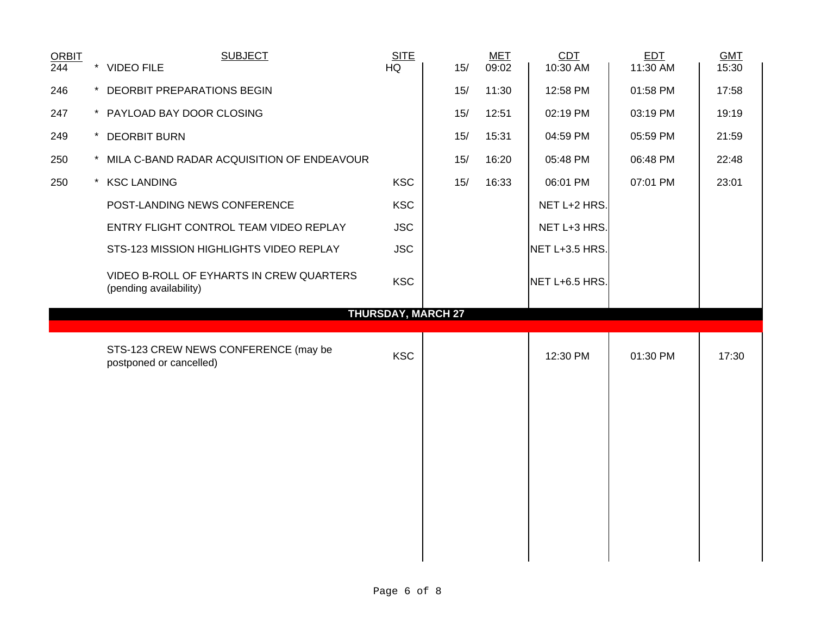| <b>ORBIT</b><br>244 | <b>SUBJECT</b><br>* VIDEO FILE                                     | <b>SITE</b><br>HQ | 15/                       | <b>MET</b><br>09:02 | <b>CDT</b><br>10:30 AM | <b>EDT</b><br>11:30 AM | <b>GMT</b><br>15:30 |
|---------------------|--------------------------------------------------------------------|-------------------|---------------------------|---------------------|------------------------|------------------------|---------------------|
| 246                 | * DEORBIT PREPARATIONS BEGIN                                       |                   | 15/                       | 11:30               | 12:58 PM               | 01:58 PM               | 17:58               |
| 247                 | * PAYLOAD BAY DOOR CLOSING                                         |                   | 15/                       | 12:51               | 02:19 PM               | 03:19 PM               | 19:19               |
| 249                 | * DEORBIT BURN                                                     |                   | 15/                       | 15:31               | 04:59 PM               | 05:59 PM               | 21:59               |
| 250                 | * MILA C-BAND RADAR ACQUISITION OF ENDEAVOUR                       |                   | 15/                       | 16:20               | 05:48 PM               | 06:48 PM               | 22:48               |
| 250                 | * KSC LANDING                                                      | <b>KSC</b>        | 15/                       | 16:33               | 06:01 PM               | 07:01 PM               | 23:01               |
|                     | POST-LANDING NEWS CONFERENCE                                       | <b>KSC</b>        |                           |                     | NET L+2 HRS.           |                        |                     |
|                     | ENTRY FLIGHT CONTROL TEAM VIDEO REPLAY                             | <b>JSC</b>        |                           |                     | NET L+3 HRS.           |                        |                     |
|                     | STS-123 MISSION HIGHLIGHTS VIDEO REPLAY                            | <b>JSC</b>        |                           |                     | NET L+3.5 HRS.         |                        |                     |
|                     | VIDEO B-ROLL OF EYHARTS IN CREW QUARTERS<br>(pending availability) | <b>KSC</b>        |                           |                     | NET L+6.5 HRS.         |                        |                     |
|                     |                                                                    |                   |                           |                     |                        |                        |                     |
|                     |                                                                    |                   | <b>THURSDAY, MARCH 27</b> |                     |                        |                        |                     |
|                     | STS-123 CREW NEWS CONFERENCE (may be<br>postponed or cancelled)    | <b>KSC</b>        |                           |                     | 12:30 PM               | 01:30 PM               | 17:30               |
|                     |                                                                    |                   |                           |                     |                        |                        |                     |
|                     |                                                                    |                   |                           |                     |                        |                        |                     |
|                     |                                                                    |                   |                           |                     |                        |                        |                     |
|                     |                                                                    |                   |                           |                     |                        |                        |                     |
|                     |                                                                    |                   |                           |                     |                        |                        |                     |
|                     |                                                                    |                   |                           |                     |                        |                        |                     |
|                     |                                                                    |                   |                           |                     |                        |                        |                     |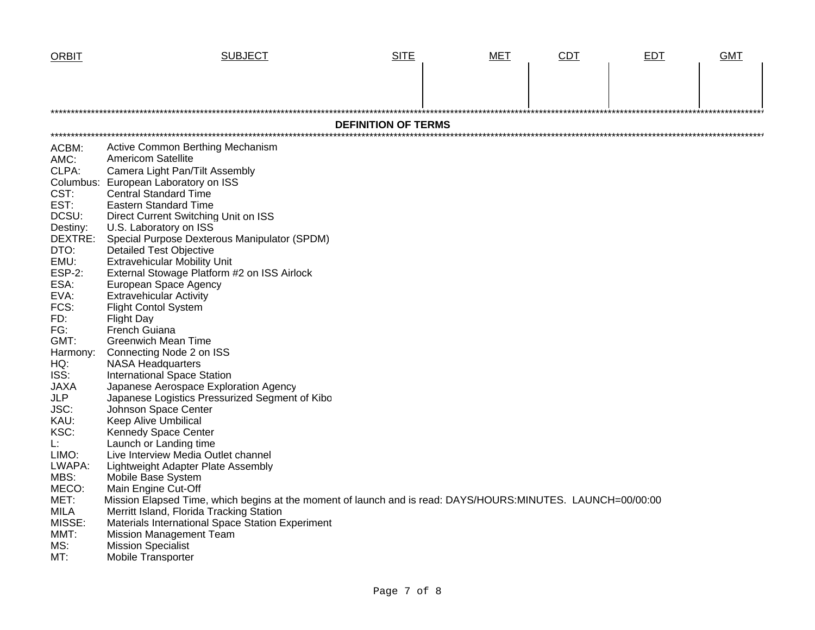| <b>ORBIT</b>        | <b>SUBJECT</b>                                                                                              | <b>SITE</b>                | <b>MET</b> | <b>CDT</b> | <b>EDT</b> | <b>GMT</b> |
|---------------------|-------------------------------------------------------------------------------------------------------------|----------------------------|------------|------------|------------|------------|
|                     |                                                                                                             |                            |            |            |            |            |
|                     |                                                                                                             | <b>DEFINITION OF TERMS</b> |            |            |            |            |
|                     |                                                                                                             |                            |            |            |            |            |
| ACBM:               | Active Common Berthing Mechanism                                                                            |                            |            |            |            |            |
| AMC:                | <b>Americom Satellite</b>                                                                                   |                            |            |            |            |            |
| CLPA:               | Camera Light Pan/Tilt Assembly                                                                              |                            |            |            |            |            |
|                     | Columbus: European Laboratory on ISS                                                                        |                            |            |            |            |            |
| CST:                | <b>Central Standard Time</b>                                                                                |                            |            |            |            |            |
| EST:                | <b>Eastern Standard Time</b>                                                                                |                            |            |            |            |            |
| DCSU:               | Direct Current Switching Unit on ISS                                                                        |                            |            |            |            |            |
| Destiny:<br>DEXTRE: | U.S. Laboratory on ISS<br>Special Purpose Dexterous Manipulator (SPDM)                                      |                            |            |            |            |            |
| DTO:                | <b>Detailed Test Objective</b>                                                                              |                            |            |            |            |            |
| EMU:                | <b>Extravehicular Mobility Unit</b>                                                                         |                            |            |            |            |            |
| <b>ESP-2:</b>       | External Stowage Platform #2 on ISS Airlock                                                                 |                            |            |            |            |            |
| ESA:                | European Space Agency                                                                                       |                            |            |            |            |            |
| EVA:                | <b>Extravehicular Activity</b>                                                                              |                            |            |            |            |            |
| FCS:                | <b>Flight Contol System</b>                                                                                 |                            |            |            |            |            |
| FD:                 | <b>Flight Day</b>                                                                                           |                            |            |            |            |            |
| FG:                 | French Guiana                                                                                               |                            |            |            |            |            |
| GMT:                | <b>Greenwich Mean Time</b>                                                                                  |                            |            |            |            |            |
| Harmony:            | Connecting Node 2 on ISS                                                                                    |                            |            |            |            |            |
| HQ:                 | <b>NASA Headquarters</b>                                                                                    |                            |            |            |            |            |
| ISS:                | <b>International Space Station</b>                                                                          |                            |            |            |            |            |
| <b>JAXA</b>         | Japanese Aerospace Exploration Agency                                                                       |                            |            |            |            |            |
| <b>JLP</b>          | Japanese Logistics Pressurized Segment of Kibo                                                              |                            |            |            |            |            |
| JSC:                | Johnson Space Center                                                                                        |                            |            |            |            |            |
| KAU:                | <b>Keep Alive Umbilical</b>                                                                                 |                            |            |            |            |            |
| KSC:                | Kennedy Space Center                                                                                        |                            |            |            |            |            |
| L:<br>LIMO:         | Launch or Landing time<br>Live Interview Media Outlet channel                                               |                            |            |            |            |            |
| LWAPA:              | Lightweight Adapter Plate Assembly                                                                          |                            |            |            |            |            |
| MBS:                | Mobile Base System                                                                                          |                            |            |            |            |            |
| MECO:               | Main Engine Cut-Off                                                                                         |                            |            |            |            |            |
| MET:                | Mission Elapsed Time, which begins at the moment of launch and is read: DAYS/HOURS:MINUTES. LAUNCH=00/00:00 |                            |            |            |            |            |
| <b>MILA</b>         | Merritt Island, Florida Tracking Station                                                                    |                            |            |            |            |            |
| MISSE:              | Materials International Space Station Experiment                                                            |                            |            |            |            |            |
| MMT:                | <b>Mission Management Team</b>                                                                              |                            |            |            |            |            |
| MS:                 | <b>Mission Specialist</b>                                                                                   |                            |            |            |            |            |
| MT:                 | Mobile Transporter                                                                                          |                            |            |            |            |            |